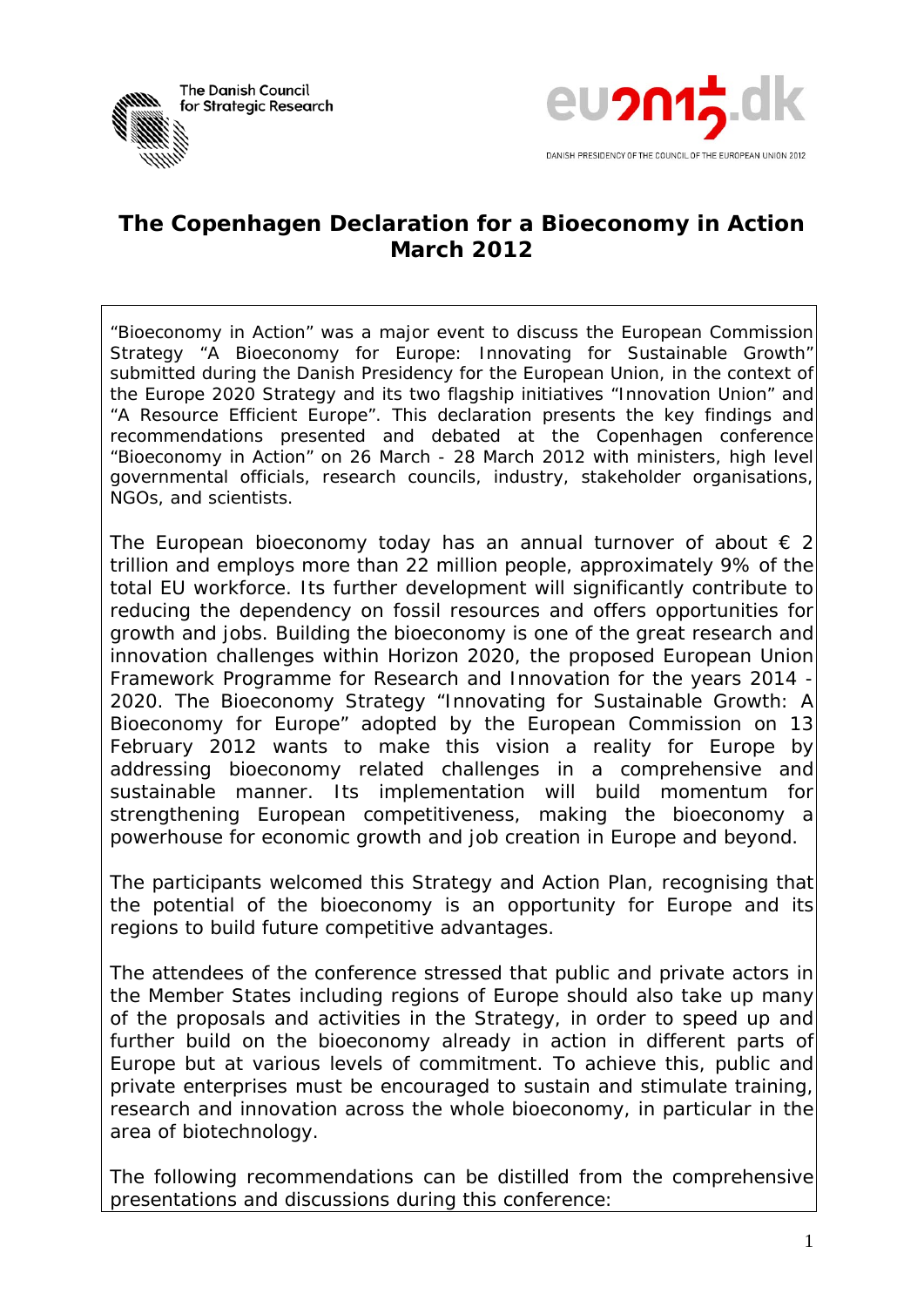



## **The Copenhagen Declaration for a Bioeconomy in Action March 2012**

*"Bioeconomy in Action" was a major event to discuss the European Commission Strategy "A Bioeconomy for Europe: Innovating for Sustainable Growth" submitted during the Danish Presidency for the European Union, in the context of the Europe 2020 Strategy and its two flagship initiatives "Innovation Union" and "A Resource Efficient Europe". This declaration presents the key findings and recommendations presented and debated at the Copenhagen conference "Bioeconomy in Action" on 26 March - 28 March 2012 with ministers, high level governmental officials, research councils, industry, stakeholder organisations, NGOs, and scientists.* 

The European bioeconomy today has an annual turnover of about  $\epsilon$  2 trillion and employs more than 22 million people, approximately 9% of the total EU workforce. Its further development will significantly contribute to reducing the dependency on fossil resources and offers opportunities for growth and jobs. Building the bioeconomy is one of the great research and innovation challenges within Horizon 2020, the proposed European Union Framework Programme for Research and Innovation for the years 2014 - 2020. The Bioeconomy Strategy "Innovating for Sustainable Growth: A Bioeconomy for Europe" adopted by the European Commission on 13 February 2012 wants to make this vision a reality for Europe by addressing bioeconomy related challenges in a comprehensive and sustainable manner. Its implementation will build momentum for strengthening European competitiveness, making the bioeconomy a powerhouse for economic growth and job creation in Europe and beyond.

The participants welcomed this Strategy and Action Plan, recognising that the potential of the bioeconomy is an opportunity for Europe and its regions to build future competitive advantages.

The attendees of the conference stressed that public and private actors in the Member States including regions of Europe should also take up many of the proposals and activities in the Strategy, in order to speed up and further build on the bioeconomy already in action in different parts of Europe but at various levels of commitment. To achieve this, public and private enterprises must be encouraged to sustain and stimulate training, research and innovation across the whole bioeconomy, in particular in the area of biotechnology.

The following recommendations can be distilled from the comprehensive presentations and discussions during this conference: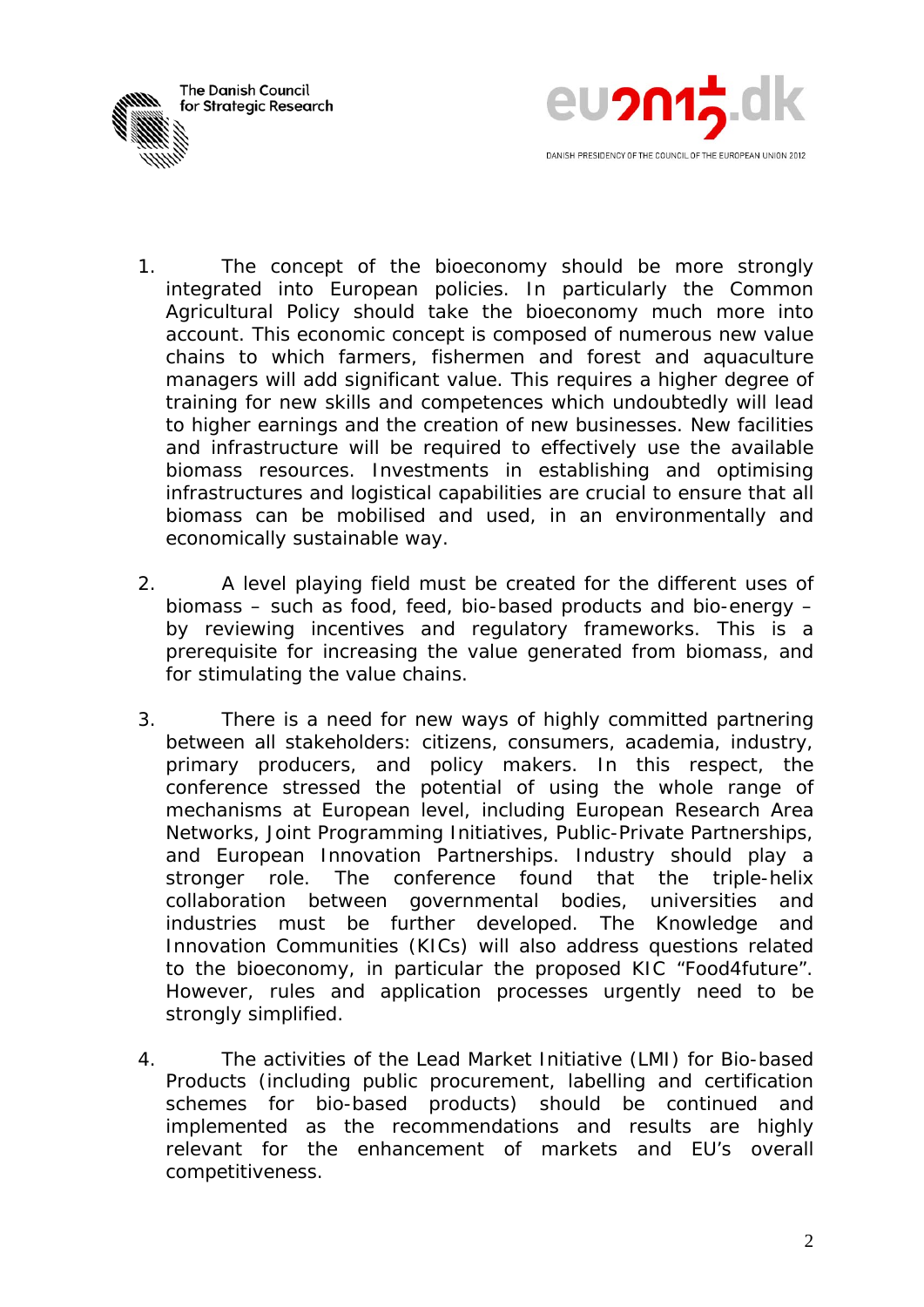



- 1. The concept of the bioeconomy should be more strongly integrated into European policies. In particularly the Common Agricultural Policy should take the bioeconomy much more into account. This economic concept is composed of numerous new value chains to which farmers, fishermen and forest and aquaculture managers will add significant value. This requires a higher degree of training for new skills and competences which undoubtedly will lead to higher earnings and the creation of new businesses. New facilities and infrastructure will be required to effectively use the available biomass resources. Investments in establishing and optimising infrastructures and logistical capabilities are crucial to ensure that all biomass can be mobilised and used, in an environmentally and economically sustainable way.
- 2. A level playing field must be created for the different uses of biomass – such as food, feed, bio-based products and bio-energy – by reviewing incentives and regulatory frameworks. This is a prerequisite for increasing the value generated from biomass, and for stimulating the value chains.
- 3. There is a need for new ways of highly committed partnering between all stakeholders: citizens, consumers, academia, industry, primary producers, and policy makers. In this respect, the conference stressed the potential of using the whole range of mechanisms at European level, including European Research Area Networks, Joint Programming Initiatives, Public-Private Partnerships, and European Innovation Partnerships. Industry should play a stronger role. The conference found that the triple-helix collaboration between governmental bodies, universities and industries must be further developed. The Knowledge and Innovation Communities (KICs) will also address questions related to the bioeconomy, in particular the proposed KIC "Food4future". However, rules and application processes urgently need to be strongly simplified.
- 4. The activities of the Lead Market Initiative (LMI) for Bio-based Products (including public procurement, labelling and certification schemes for bio-based products) should be continued and implemented as the recommendations and results are highly relevant for the enhancement of markets and EU's overall competitiveness.